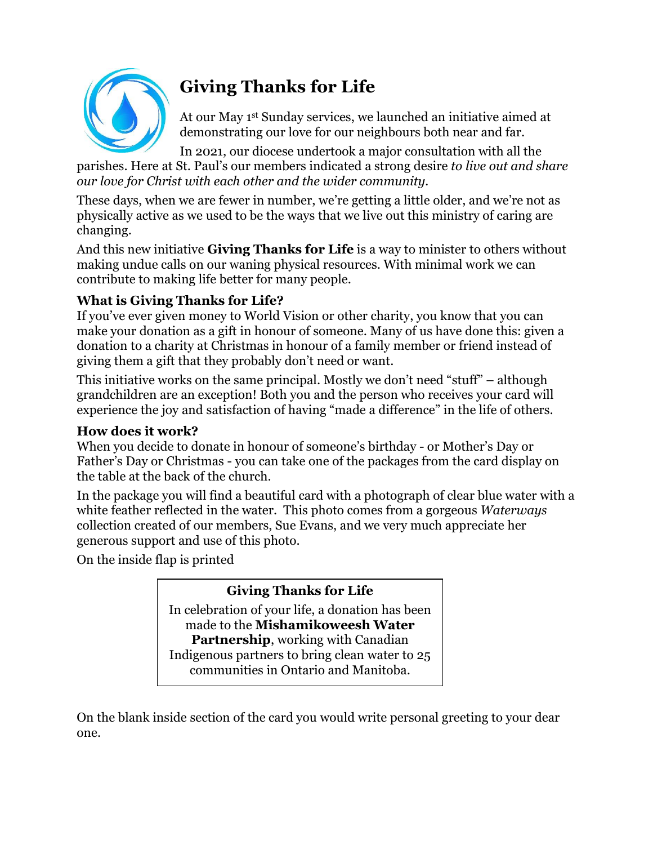

# **Giving Thanks for Life**

At our May 1 st Sunday services, we launched an initiative aimed at demonstrating our love for our neighbours both near and far.

In 2021, our diocese undertook a major consultation with all the parishes. Here at St. Paul's our members indicated a strong desire *to live out and share our love for Christ with each other and the wider community.*

These days, when we are fewer in number, we're getting a little older, and we're not as physically active as we used to be the ways that we live out this ministry of caring are changing.

And this new initiative **Giving Thanks for Life** is a way to minister to others without making undue calls on our waning physical resources. With minimal work we can contribute to making life better for many people.

## **What is Giving Thanks for Life?**

If you've ever given money to World Vision or other charity, you know that you can make your donation as a gift in honour of someone. Many of us have done this: given a donation to a charity at Christmas in honour of a family member or friend instead of giving them a gift that they probably don't need or want.

This initiative works on the same principal. Mostly we don't need "stuff" – although grandchildren are an exception! Both you and the person who receives your card will experience the joy and satisfaction of having "made a difference" in the life of others.

#### **How does it work?**

When you decide to donate in honour of someone's birthday - or Mother's Day or Father's Day or Christmas - you can take one of the packages from the card display on the table at the back of the church.

In the package you will find a beautiful card with a photograph of clear blue water with a white feather reflected in the water. This photo comes from a gorgeous *Waterways* collection created of our members, Sue Evans, and we very much appreciate her generous support and use of this photo.

On the inside flap is printed

## **Giving Thanks for Life**

In celebration of your life, a donation has been made to the **Mishamikoweesh Water Partnership**, working with Canadian Indigenous partners to bring clean water to 25 communities in Ontario and Manitoba.

On the blank inside section of the card you would write personal greeting to your dear one.